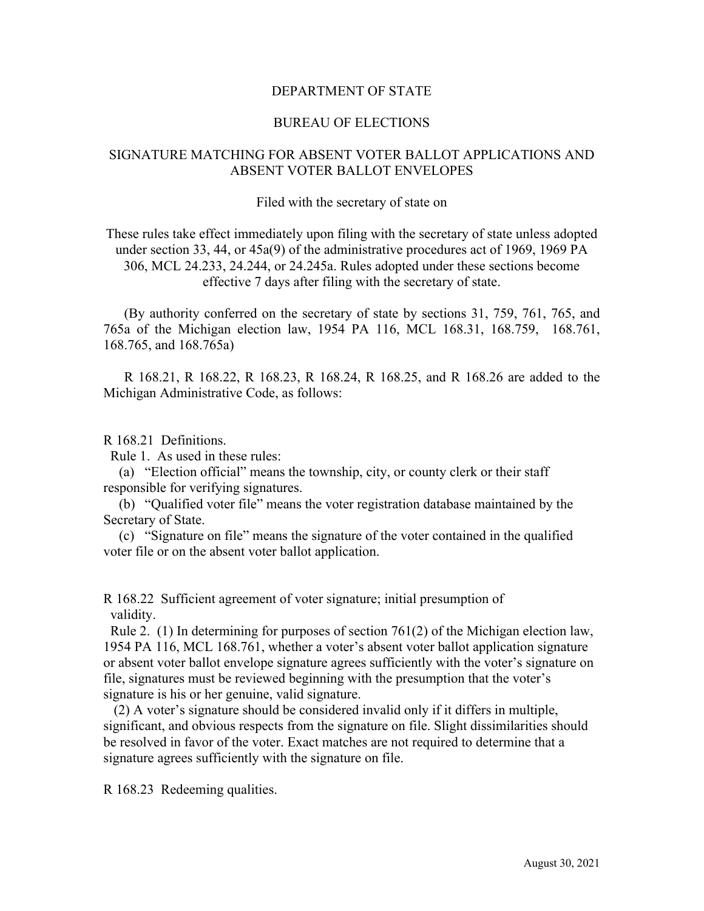## DEPARTMENT OF STATE

## BUREAU OF ELECTIONS

# SIGNATURE MATCHING FOR ABSENT VOTER BALLOT APPLICATIONS AND ABSENT VOTER BALLOT ENVELOPES

#### Filed with the secretary of state on

These rules take effect immediately upon filing with the secretary of state unless adopted under section 33, 44, or 45a(9) of the administrative procedures act of 1969, 1969 PA 306, MCL 24.233, 24.244, or 24.245a. Rules adopted under these sections become effective 7 days after filing with the secretary of state.

(By authority conferred on the secretary of state by sections 31, 759, 761, 765, and 765a of the Michigan election law, 1954 PA 116, MCL 168.31, 168.759, 168.761, 168.765, and 168.765a)

R 168.21, R 168.22, R 168.23, R 168.24, R 168.25, and R 168.26 are added to the Michigan Administrative Code, as follows:

### R 168.21 Definitions.

Rule 1. As used in these rules:

(a) "Election official" means the township, city, or county clerk or their staff responsible for verifying signatures.

(b) "Qualified voter file" means the voter registration database maintained by the Secretary of State.

(c) "Signature on file" means the signature of the voter contained in the qualified voter file or on the absent voter ballot application.

R 168.22 Sufficient agreement of voter signature; initial presumption of validity.

 Rule 2. (1) In determining for purposes of section 761(2) of the Michigan election law, 1954 PA 116, MCL 168.761, whether a voter's absent voter ballot application signature or absent voter ballot envelope signature agrees sufficiently with the voter's signature on file, signatures must be reviewed beginning with the presumption that the voter's signature is his or her genuine, valid signature.

 (2) A voter's signature should be considered invalid only if it differs in multiple, significant, and obvious respects from the signature on file. Slight dissimilarities should be resolved in favor of the voter. Exact matches are not required to determine that a signature agrees sufficiently with the signature on file.

R 168.23 Redeeming qualities.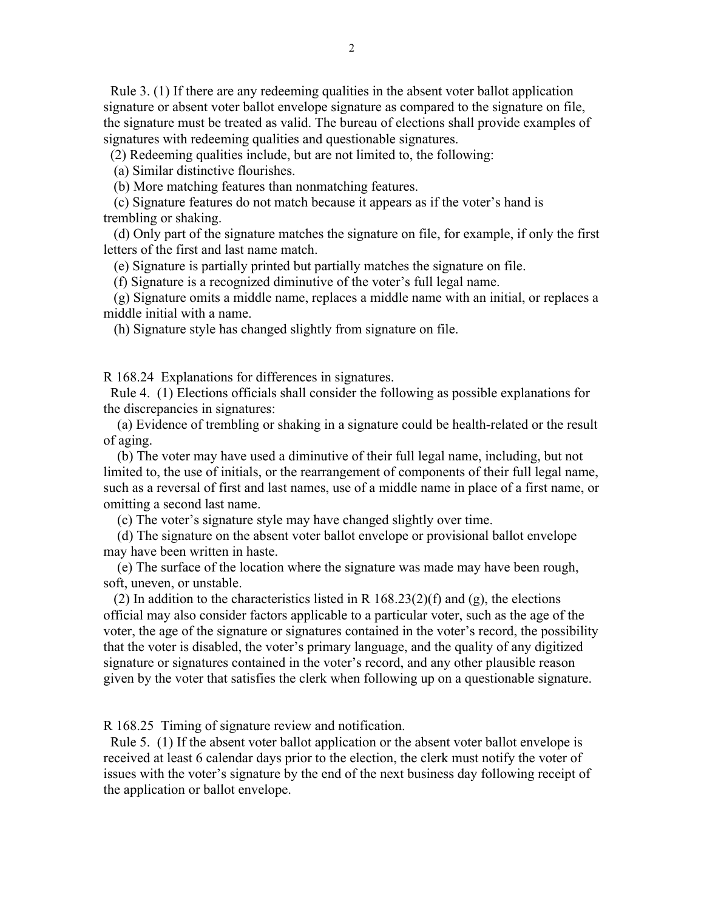Rule 3. (1) If there are any redeeming qualities in the absent voter ballot application signature or absent voter ballot envelope signature as compared to the signature on file, the signature must be treated as valid. The bureau of elections shall provide examples of signatures with redeeming qualities and questionable signatures.

(2) Redeeming qualities include, but are not limited to, the following:

(a) Similar distinctive flourishes.

(b) More matching features than nonmatching features.

 (c) Signature features do not match because it appears as if the voter's hand is trembling or shaking.

 (d) Only part of the signature matches the signature on file, for example, if only the first letters of the first and last name match.

(e) Signature is partially printed but partially matches the signature on file.

(f) Signature is a recognized diminutive of the voter's full legal name.

 (g) Signature omits a middle name, replaces a middle name with an initial, or replaces a middle initial with a name.

(h) Signature style has changed slightly from signature on file.

R 168.24 Explanations for differences in signatures.

 Rule 4. (1) Elections officials shall consider the following as possible explanations for the discrepancies in signatures:

 (a) Evidence of trembling or shaking in a signature could be health-related or the result of aging.

 (b) The voter may have used a diminutive of their full legal name, including, but not limited to, the use of initials, or the rearrangement of components of their full legal name, such as a reversal of first and last names, use of a middle name in place of a first name, or omitting a second last name.

(c) The voter's signature style may have changed slightly over time.

 (d) The signature on the absent voter ballot envelope or provisional ballot envelope may have been written in haste.

 (e) The surface of the location where the signature was made may have been rough, soft, uneven, or unstable.

(2) In addition to the characteristics listed in R  $168.23(2)(f)$  and (g), the elections official may also consider factors applicable to a particular voter, such as the age of the voter, the age of the signature or signatures contained in the voter's record, the possibility that the voter is disabled, the voter's primary language, and the quality of any digitized signature or signatures contained in the voter's record, and any other plausible reason given by the voter that satisfies the clerk when following up on a questionable signature.

R 168.25 Timing of signature review and notification.

 Rule 5. (1) If the absent voter ballot application or the absent voter ballot envelope is received at least 6 calendar days prior to the election, the clerk must notify the voter of issues with the voter's signature by the end of the next business day following receipt of the application or ballot envelope.